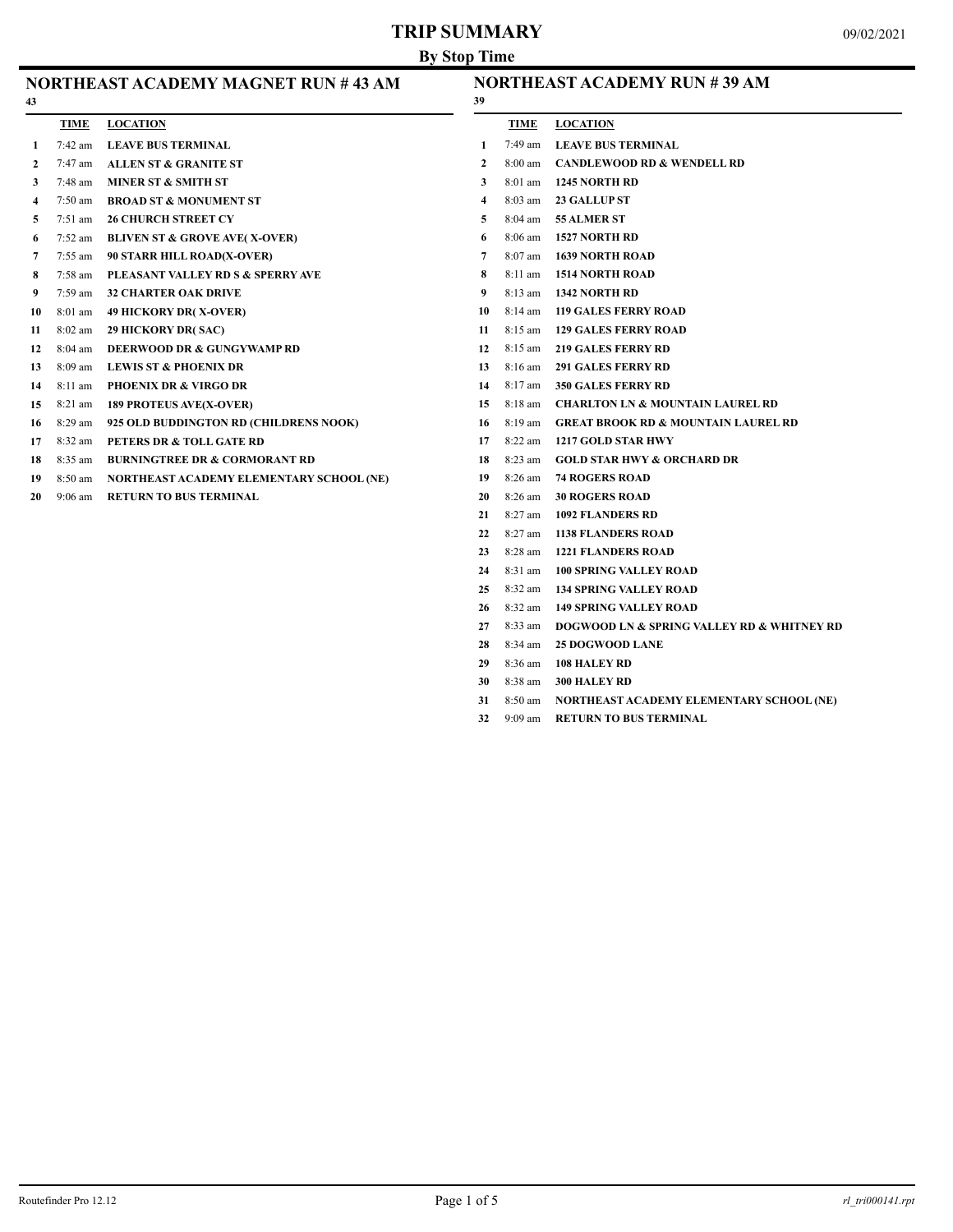# **TRIP SUMMARY**

| NORTHEAST ACADEMY MAGNET RUN # 43 AM<br>43 |                   |                                          |              | <b>NORTHEAST ACADEMY RUN #39 AM</b><br>39 |                                                |  |
|--------------------------------------------|-------------------|------------------------------------------|--------------|-------------------------------------------|------------------------------------------------|--|
|                                            | <b>TIME</b>       | <b>LOCATION</b>                          |              | <b>TIME</b>                               | <b>LOCATION</b>                                |  |
| 1                                          | $7:42 \text{ am}$ | <b>LEAVE BUS TERMINAL</b>                | 1            | $7:49$ am                                 | <b>LEAVE BUS TERMINAL</b>                      |  |
| 2                                          | $7:47$ am         | <b>ALLEN ST &amp; GRANITE ST</b>         | $\mathbf{2}$ | $8:00$ am                                 | <b>CANDLEWOOD RD &amp; WENDELL RD</b>          |  |
| 3                                          | 7:48 am           | MINER ST & SMITH ST                      | 3            | 8:01 am                                   | <b>1245 NORTH RD</b>                           |  |
| $\overline{\mathbf{4}}$                    | $7:50$ am         | <b>BROAD ST &amp; MONUMENT ST</b>        | 4            | $8:03$ am                                 | <b>23 GALLUP ST</b>                            |  |
| 5                                          | $7:51$ am         | <b>26 CHURCH STREET CY</b>               | 5            | 8:04 am                                   | 55 ALMER ST                                    |  |
| 6                                          | 7:52 am           | <b>BLIVEN ST &amp; GROVE AVE(X-OVER)</b> | 6            | 8:06 am                                   | <b>1527 NORTH RD</b>                           |  |
| 7                                          | $7:55$ am         | 90 STARR HILL ROAD(X-OVER)               | 7            | 8:07 am                                   | <b>1639 NORTH ROAD</b>                         |  |
| 8                                          | 7:58 am           | PLEASANT VALLEY RD S & SPERRY AVE        | 8            | $8:11$ am                                 | <b>1514 NORTH ROAD</b>                         |  |
| 9                                          | $7:59$ am         | <b>32 CHARTER OAK DRIVE</b>              | 9            | $8:13$ am                                 | <b>1342 NORTH RD</b>                           |  |
| 10                                         | $8:01$ am         | <b>49 HICKORY DR(X-OVER)</b>             | 10           | $8:14 \text{ am}$                         | <b>119 GALES FERRY ROAD</b>                    |  |
| 11                                         | 8:02 am           | 29 HICKORY DR( SAC)                      | 11           | $8:15$ am                                 | <b>129 GALES FERRY ROAD</b>                    |  |
| 12                                         | $8:04$ am         | DEERWOOD DR & GUNGYWAMP RD               | 12           | $8:15$ am                                 | <b>219 GALES FERRY RD</b>                      |  |
| 13                                         | 8:09 am           | <b>LEWIS ST &amp; PHOENIX DR</b>         | 13           | $8:16$ am                                 | <b>291 GALES FERRY RD</b>                      |  |
| 14                                         | 8:11 am           | <b>PHOENIX DR &amp; VIRGO DR</b>         | 14           | 8:17 am                                   | <b>350 GALES FERRY RD</b>                      |  |
| 15                                         | $8:21$ am         | <b>189 PROTEUS AVE(X-OVER)</b>           | 15           | $8:18$ am                                 | <b>CHARLTON LN &amp; MOUNTAIN LAUREL RD</b>    |  |
| 16                                         | 8:29 am           | 925 OLD BUDDINGTON RD (CHILDRENS NOOK)   | 16           | 8:19 am                                   | <b>GREAT BROOK RD &amp; MOUNTAIN LAUREL RD</b> |  |
| 17                                         | 8:32 am           | PETERS DR & TOLL GATE RD                 | 17           | 8:22 am                                   | 1217 GOLD STAR HWY                             |  |
| 18                                         | 8:35 am           | <b>BURNINGTREE DR &amp; CORMORANT RD</b> | 18           | 8:23 am                                   | <b>GOLD STAR HWY &amp; ORCHARD DR</b>          |  |
| 19                                         | 8:50 am           | NORTHEAST ACADEMY ELEMENTARY SCHOOL (NE) | 19           | $8:26$ am                                 | <b>74 ROGERS ROAD</b>                          |  |
| 20                                         | $9:06$ am         | <b>RETURN TO BUS TERMINAL</b>            | 20           | $8:26$ am                                 | <b>30 ROGERS ROAD</b>                          |  |
|                                            |                   |                                          | 21           | $8:27$ am                                 | <b>1092 FLANDERS RD</b>                        |  |
|                                            |                   |                                          | 22           | $8:27$ am                                 | <b>1138 FLANDERS ROAD</b>                      |  |
|                                            |                   |                                          | 23           | 8:28 am                                   | <b>1221 FLANDERS ROAD</b>                      |  |
|                                            |                   |                                          | 24           | 8:31 am                                   | <b>100 SPRING VALLEY ROAD</b>                  |  |
|                                            |                   |                                          | 25           | 8:32 am                                   | <b>134 SPRING VALLEY ROAD</b>                  |  |
|                                            |                   |                                          | 26           | 8:32 am                                   | <b>149 SPRING VALLEY ROAD</b>                  |  |
|                                            |                   |                                          | 27           | 8:33 am                                   | DOGWOOD LN & SPRING VALLEY RD & WHITNEY RD     |  |
|                                            |                   |                                          | 28           | $8:34$ am                                 | <b>25 DOGWOOD LANE</b>                         |  |
|                                            |                   |                                          | 29           | 8:36 am                                   | <b>108 HALEY RD</b>                            |  |
|                                            |                   |                                          | 30           | 8:38 am                                   | <b>300 HALEY RD</b>                            |  |

8:50 am **NORTHEAST ACADEMY ELEMENTARY SCHOOL (NE)**

9:09 am **RETURN TO BUS TERMINAL**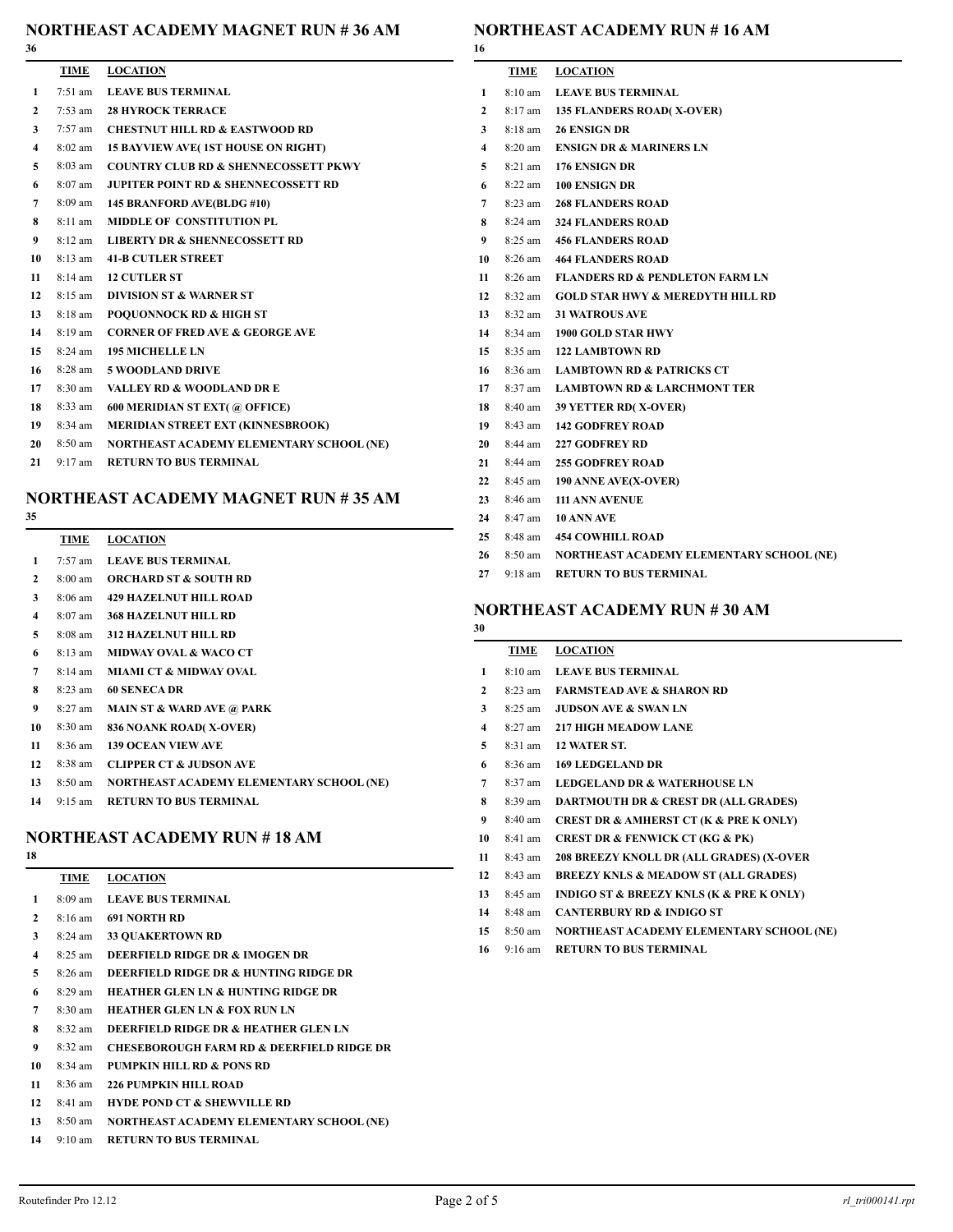#### **NORTHEAST ACADEMY MAGNET RUN # 36 AM**

#### **NORTHEAST ACADEMY RUN # 16 AM**

|                         | TIME              | <b>LOCATION</b>                                  |
|-------------------------|-------------------|--------------------------------------------------|
| $\mathbf{1}$            |                   | 7:51 am LEAVE BUS TERMINAL                       |
| $\mathbf{2}$            |                   | 7:53 am 28 HYROCK TERRACE                        |
| 3                       |                   | 7:57 am CHESTNUT HILL RD & EASTWOOD RD           |
| $\overline{\mathbf{4}}$ | $8:02 \text{ am}$ | <b>15 BAYVIEW AVE (1ST HOUSE ON RIGHT)</b>       |
| 5                       | 8:03 am           | <b>COUNTRY CLUB RD &amp; SHENNECOSSETT PKWY</b>  |
| 6                       |                   | 8:07 am JUPITER POINT RD & SHENNECOSSETT RD      |
| $7^{\circ}$             |                   | 8:09 am 145 BRANFORD AVE(BLDG #10)               |
| 8                       |                   | 8:11 am MIDDLE OF CONSTITUTION PL                |
| 9                       |                   | 8:12 am LIBERTY DR & SHENNECOSSETT RD            |
| 10                      |                   | 8:13 am 41-B CUTLER STREET                       |
| 11                      |                   | 8:14 am 12 CUTLER ST                             |
| 12                      |                   | 8:15 am <b>DIVISION ST &amp; WARNER ST</b>       |
| 13                      | 8:18 am           | <b>POQUONNOCK RD &amp; HIGH ST</b>               |
| 14                      | 8:19 am           | <b>CORNER OF FRED AVE &amp; GEORGE AVE</b>       |
| 15                      |                   | 8:24 am 195 MICHELLE LN                          |
| 16                      |                   | 8:28 am 5 WOODLAND DRIVE                         |
| 17                      |                   | 8:30 am VALLEY RD & WOODLAND DR E                |
| 18                      | 8:33 am           | 600 MERIDIAN ST EXT(@ OFFICE)                    |
| 19                      | 8:34 am           | MERIDIAN STREET EXT (KINNESBROOK)                |
| 20                      |                   | 8:50 am NORTHEAST ACADEMY ELEMENTARY SCHOOL (NE) |
| 21                      |                   | 9:17 am RETURN TO BUS TERMINAL                   |
|                         |                   |                                                  |

### **NORTHEAST ACADEMY MAGNET RUN # 35 AM**

### 

|                         | TIME              | <b>LOCATION</b>                          |
|-------------------------|-------------------|------------------------------------------|
| 1                       | $7:57$ am         | <b>LEAVE BUS TERMINAL</b>                |
| $\mathbf{2}$            | $8:00 \text{ am}$ | <b>ORCHARD ST &amp; SOUTH RD</b>         |
| 3                       | $8:06$ am         | <b>429 HAZELNUT HILL ROAD</b>            |
| $\overline{\mathbf{4}}$ | $8:07$ am         | <b>368 HAZELNUT HILL RD</b>              |
| 5                       | $8:08$ am         | <b>312 HAZELNUT HILL RD</b>              |
| 6                       | $8:13$ am         | <b>MIDWAY OVAL &amp; WACO CT</b>         |
| 7                       | $8:14 \text{ am}$ | <b>MIAMI CT &amp; MIDWAY OVAL</b>        |
| 8                       | $8:23$ am         | <b>60 SENECA DR</b>                      |
| 9                       | $8:27$ am         | <b>MAIN ST &amp; WARD AVE @ PARK</b>     |
| 10                      | $8:30$ am         | 836 NOANK ROAD(X-OVER)                   |
| 11                      | $8:36$ am         | <b>139 OCEAN VIEW AVE</b>                |
| 12                      | $8:38$ am         | <b>CLIPPER CT &amp; JUDSON AVE</b>       |
| 13                      | 8:50 am           | NORTHEAST ACADEMY ELEMENTARY SCHOOL (NE) |

9:15 am **RETURN TO BUS TERMINAL**

### **NORTHEAST ACADEMY RUN # 18 AM**

| 18                      |                   |                                                      |
|-------------------------|-------------------|------------------------------------------------------|
|                         | TIME              | <b>LOCATION</b>                                      |
| 1                       | $8:09$ am         | <b>LEAVE BUS TERMINAL</b>                            |
| $\mathbf{2}$            | $8:16 \text{ am}$ | <b>691 NORTH RD</b>                                  |
| 3                       | $8:24$ am         | <b>33 OUAKERTOWN RD</b>                              |
| $\overline{\mathbf{4}}$ | $8:25$ am         | DEERFIELD RIDGE DR & IMOGEN DR                       |
| 5                       | $8:26$ am         | DEERFIELD RIDGE DR & HUNTING RIDGE DR                |
| 6                       | $8:29$ am         | <b>HEATHER GLEN LN &amp; HUNTING RIDGE DR</b>        |
| 7                       | $8:30 \text{ am}$ | <b>HEATHER GLEN LN &amp; FOX RUN LN</b>              |
| 8                       | $8:32$ am         | <b>DEERFIELD RIDGE DR &amp; HEATHER GLEN LN</b>      |
| 9                       | $8:32 \text{ am}$ | <b>CHESEBOROUGH FARM RD &amp; DEERFIELD RIDGE DR</b> |
| 10                      | $8:34 \text{ am}$ | PUMPKIN HILL RD & PONS RD                            |
| 11                      | $8:36$ am         | <b>226 PUMPKIN HILL ROAD</b>                         |
| 12                      | $8:41$ am         | <b>HYDE POND CT &amp; SHEWVILLE RD</b>               |
| 13                      | $8:50 \text{ am}$ | NORTHEAST ACADEMY ELEMENTARY SCHOOL (NE)             |
|                         | 1.4 $0.10$        | DETUDN TO BUG TEDMIN AT                              |

9:10 am **RETURN TO BUS TERMINAL**

|    |           | <b>TIME LOCATION</b>                                |
|----|-----------|-----------------------------------------------------|
|    |           | 1 8:10 am LEAVE BUS TERMINAL                        |
|    |           | 2 8:17 am 135 FLANDERS ROAD(X-OVER)                 |
|    |           | 3 8:18 am 26 ENSIGN DR                              |
|    |           | 4 8:20 am ENSIGN DR & MARINERS LN                   |
|    |           | 5 8:21 am 176 ENSIGN DR                             |
| 6  |           | 8:22 am 100 ENSIGN DR                               |
|    |           | 7 8:23 am 268 FLANDERS ROAD                         |
|    |           | 8 8:24 am 324 FLANDERS ROAD                         |
|    |           | 9 8:25 am 456 FLANDERS ROAD                         |
|    |           | 10 8:26 am 464 FLANDERS ROAD                        |
|    |           | 11 8:26 am FLANDERS RD & PENDLETON FARM LN          |
|    |           | 12 8:32 am GOLD STAR HWY & MEREDYTH HILL RD         |
|    |           | 13 8:32 am 31 WATROUS AVE                           |
|    |           | 14 8:34 am 1900 GOLD STAR HWY                       |
|    |           | 15 8:35 am 122 LAMBTOWN RD                          |
|    |           | 16 8:36 am LAMBTOWN RD & PATRICKS CT                |
|    |           | 17 8:37 am LAMBTOWN RD & LARCHMONT TER              |
|    |           | 18 8:40 am 39 YETTER RD(X-OVER)                     |
|    |           | 19 8:43 am 142 GODFREY ROAD                         |
|    |           | 20 8:44 am 227 GODFREY RD                           |
|    |           | 21 8:44 am 255 GODFREY ROAD                         |
|    |           | 22 8:45 am 190 ANNE AVE(X-OVER)                     |
|    |           | 23 8:46 am 111 ANN AVENUE                           |
|    |           | 24 8:47 am 10 ANN AVE                               |
|    |           | 25 8:48 am 454 COWHILL ROAD                         |
|    |           | 26 8:50 am NORTHEAST ACADEMY ELEMENTARY SCHOOL (NE) |
| 27 | $9:18$ am | <b>RETURN TO BUS TERMINAL</b>                       |

## **NORTHEAST ACADEMY RUN # 30 AM**

### **TIME LOCATION** 8:10 am **LEAVE BUS TERMINAL** 8:23 am **FARMSTEAD AVE & SHARON RD** 8:25 am **JUDSON AVE & SWAN LN** 8:27 am **217 HIGH MEADOW LANE** 8:31 am **12 WATER ST.** 8:36 am **169 LEDGELAND DR** 8:37 am **LEDGELAND DR & WATERHOUSE LN** 8:39 am **DARTMOUTH DR & CREST DR (ALL GRADES)** 8:40 am **CREST DR & AMHERST CT (K & PRE K ONLY)** 8:41 am **CREST DR & FENWICK CT (KG & PK)** 8:43 am **208 BREEZY KNOLL DR (ALL GRADES) (X-OVER** 8:43 am **BREEZY KNLS & MEADOW ST (ALL GRADES)** 8:45 am **INDIGO ST & BREEZY KNLS (K & PRE K ONLY)** 8:48 am **CANTERBURY RD & INDIGO ST** 8:50 am **NORTHEAST ACADEMY ELEMENTARY SCHOOL (NE)** 9:16 am **RETURN TO BUS TERMINAL**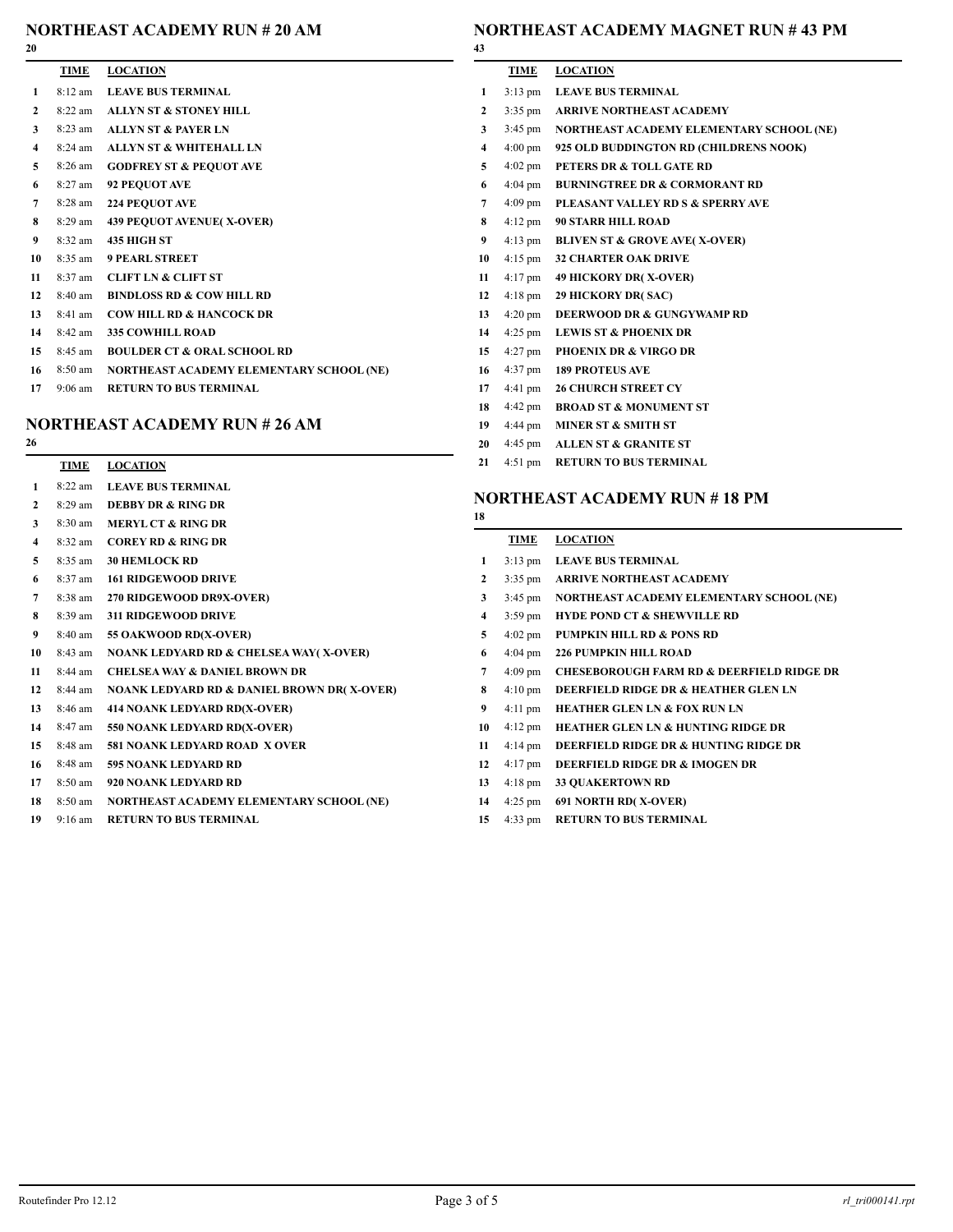# **NORTHEAST ACADEMY RUN # 20 AM**

| 20 |                   |                                          |
|----|-------------------|------------------------------------------|
|    | TIME              | <b>LOCATION</b>                          |
| 1  | $8:12 \text{ am}$ | <b>LEAVE BUS TERMINAL</b>                |
| 2  | $8:22$ am         | <b>ALLYN ST &amp; STONEY HILL</b>        |
| 3  | $8:23$ am         | <b>ALLYN ST &amp; PAYER LN</b>           |
| 4  | $8:24$ am         | <b>ALLYN ST &amp; WHITEHALL LN</b>       |
| 5  | 8:26 am           | <b>GODFREY ST &amp; PEQUOT AVE</b>       |
| 6  | $8:27$ am         | 92 PEQUOT AVE                            |
| 7  | $8:28$ am         | <b>224 PEQUOT AVE</b>                    |
| 8  | 8:29 am           | <b>439 PEQUOT AVENUE(X-OVER)</b>         |
| 9  | 8:32 am           | <b>435 HIGH ST</b>                       |
| 10 | $8:35$ am         | <b>9 PEARL STREET</b>                    |
| 11 | 8:37 am           | <b>CLIFT LN &amp; CLIFT ST</b>           |
| 12 | 8:40 am           | <b>BINDLOSS RD &amp; COW HILL RD</b>     |
| 13 | $8:41$ am         | <b>COW HILL RD &amp; HANCOCK DR</b>      |
| 14 | 8:42 am           | <b>335 COWHILL ROAD</b>                  |
| 15 | 8:45 am           | <b>BOULDER CT &amp; ORAL SCHOOL RD</b>   |
| 16 | 8:50 am           | NORTHEAST ACADEMY ELEMENTARY SCHOOL (NE) |
| 17 | $9:06 \text{ am}$ | <b>RETURN TO BUS TERMINAL</b>            |

## **NORTHEAST ACADEMY RUN # 26 AM**

|                         | TIME              | <b>LOCATION</b>                                       |
|-------------------------|-------------------|-------------------------------------------------------|
| 1                       | $8:22$ am         | <b>LEAVE BUS TERMINAL</b>                             |
| $\mathbf{2}$            | 8:29 am           | <b>DEBBY DR &amp; RING DR</b>                         |
| 3                       | $8:30 \text{ am}$ | <b>MERYL CT &amp; RING DR</b>                         |
| $\overline{\mathbf{4}}$ | 8:32 am           | <b>COREY RD &amp; RING DR</b>                         |
| 5                       | 8:35 am           | <b>30 HEMLOCK RD</b>                                  |
| 6                       | 8:37 am           | <b>161 RIDGEWOOD DRIVE</b>                            |
| 7                       | $8:38$ am         | 270 RIDGEWOOD DR9X-OVER)                              |
| 8                       | $8:39 \text{ am}$ | <b>311 RIDGEWOOD DRIVE</b>                            |
| 9                       | 8:40 am           | 55 OAKWOOD RD(X-OVER)                                 |
| 10                      | $8:43$ am         | <b>NOANK LEDYARD RD &amp; CHELSEA WAY(X-OVER)</b>     |
| 11                      | $8:44$ am         | <b>CHELSEA WAY &amp; DANIEL BROWN DR</b>              |
| 12                      | 8:44 am           | <b>NOANK LEDYARD RD &amp; DANIEL BROWN DR(X-OVER)</b> |
| 13 <sup>7</sup>         | 8:46 am           | 414 NOANK LEDYARD RD(X-OVER)                          |
| 14                      | 8:47 am           | 550 NOANK LEDYARD RD(X-OVER)                          |
| 15                      | $8:48$ am         | 581 NOANK LEDYARD ROAD X OVER                         |
| 16                      | 8:48 am           | <b>595 NOANK LEDYARD RD</b>                           |
| 17                      | 8:50 am           | 920 NOANK LEDYARD RD                                  |
| 18                      | 8:50 am           | NORTHEAST ACADEMY ELEMENTARY SCHOOL (NE)              |
|                         |                   |                                                       |

9:16 am **RETURN TO BUS TERMINAL**

# **NORTHEAST ACADEMY MAGNET RUN # 43 PM**

| 43              |                   |                                                  |
|-----------------|-------------------|--------------------------------------------------|
|                 | TIME              | <b>LOCATION</b>                                  |
| 1               | $3:13 \text{ pm}$ | <b>LEAVE BUS TERMINAL</b>                        |
| $\mathbf{2}$    |                   | 3:35 pm ARRIVE NORTHEAST ACADEMY                 |
| 3               |                   | 3:45 pm NORTHEAST ACADEMY ELEMENTARY SCHOOL (NE) |
| $\overline{4}$  | $4:00 \text{ pm}$ | 925 OLD BUDDINGTON RD (CHILDRENS NOOK)           |
| 5               | $4:02 \text{ pm}$ | PETERS DR & TOLL GATE RD                         |
| 6               | $4:04 \text{ pm}$ | <b>BURNINGTREE DR &amp; CORMORANT RD</b>         |
| 7               | $4:09$ pm         | PLEASANT VALLEY RD S & SPERRY AVE                |
| 8               | $4:12 \text{ pm}$ | <b>90 STARR HILL ROAD</b>                        |
| 9               | $4:13 \text{ pm}$ | <b>BLIVEN ST &amp; GROVE AVE(X-OVER)</b>         |
| 10              |                   | 4:15 pm 32 CHARTER OAK DRIVE                     |
| 11              | $4:17$ pm         | <b>49 HICKORY DR(X-OVER)</b>                     |
| 12              | $4:18$ pm         | <b>29 HICKORY DR(SAC)</b>                        |
| 13              | $4:20 \text{ pm}$ | DEERWOOD DR & GUNGYWAMP RD                       |
| 14              |                   | 4:25 pm LEWIS ST & PHOENIX DR                    |
| 15 <sup>7</sup> | $4:27$ pm         | <b>PHOENIX DR &amp; VIRGO DR</b>                 |
| 16              |                   | 4:37 pm 189 PROTEUS AVE                          |
| 17              | $4:41 \text{ pm}$ | <b>26 CHURCH STREET CY</b>                       |
| 18              | $4:42 \text{ pm}$ | <b>BROAD ST &amp; MONUMENT ST</b>                |
| 19              | $4:44 \text{ pm}$ | <b>MINER ST &amp; SMITH ST</b>                   |
| 20              | $4:45 \text{ pm}$ | <b>ALLEN ST &amp; GRANITE ST</b>                 |
| 21              | $4:51$ pm         | <b>RETURN TO BUS TERMINAL</b>                    |

# **NORTHEAST ACADEMY RUN # 18 PM**

| 18 |                   |                                                      |
|----|-------------------|------------------------------------------------------|
|    | TIME              | <b>LOCATION</b>                                      |
| 1  | $3:13 \text{ pm}$ | <b>LEAVE BUS TERMINAL</b>                            |
| 2  | $3:35$ pm         | <b>ARRIVE NORTHEAST ACADEMY</b>                      |
| 3  | $3:45 \text{ pm}$ | NORTHEAST ACADEMY ELEMENTARY SCHOOL (NE)             |
| 4  | $3:59$ pm         | <b>HYDE POND CT &amp; SHEWVILLE RD</b>               |
| 5  | $4:02 \text{ pm}$ | <b>PUMPKIN HILL RD &amp; PONS RD</b>                 |
| 6  | $4:04 \text{ pm}$ | <b>226 PUMPKIN HILL ROAD</b>                         |
| 7  | $4:09$ pm         | <b>CHESEBOROUGH FARM RD &amp; DEERFIELD RIDGE DR</b> |
| 8  | $4:10 \text{ pm}$ | DEERFIELD RIDGE DR & HEATHER GLEN LN                 |
| 9  | $4:11$ pm         | <b>HEATHER GLEN LN &amp; FOX RUN LN</b>              |
| 10 | $4:12 \text{ pm}$ | <b>HEATHER GLEN LN &amp; HUNTING RIDGE DR</b>        |
| 11 | $4:14 \text{ pm}$ | DEERFIELD RIDGE DR & HUNTING RIDGE DR                |
| 12 | $4:17 \text{ pm}$ | DEERFIELD RIDGE DR & IMOGEN DR                       |
| 13 | $4:18 \text{ pm}$ | <b>33 QUAKERTOWN RD</b>                              |
| 14 | $4:25$ pm         | 691 NORTH RD(X-OVER)                                 |
| 15 | $4:33$ pm         | <b>RETURN TO BUS TERMINAL</b>                        |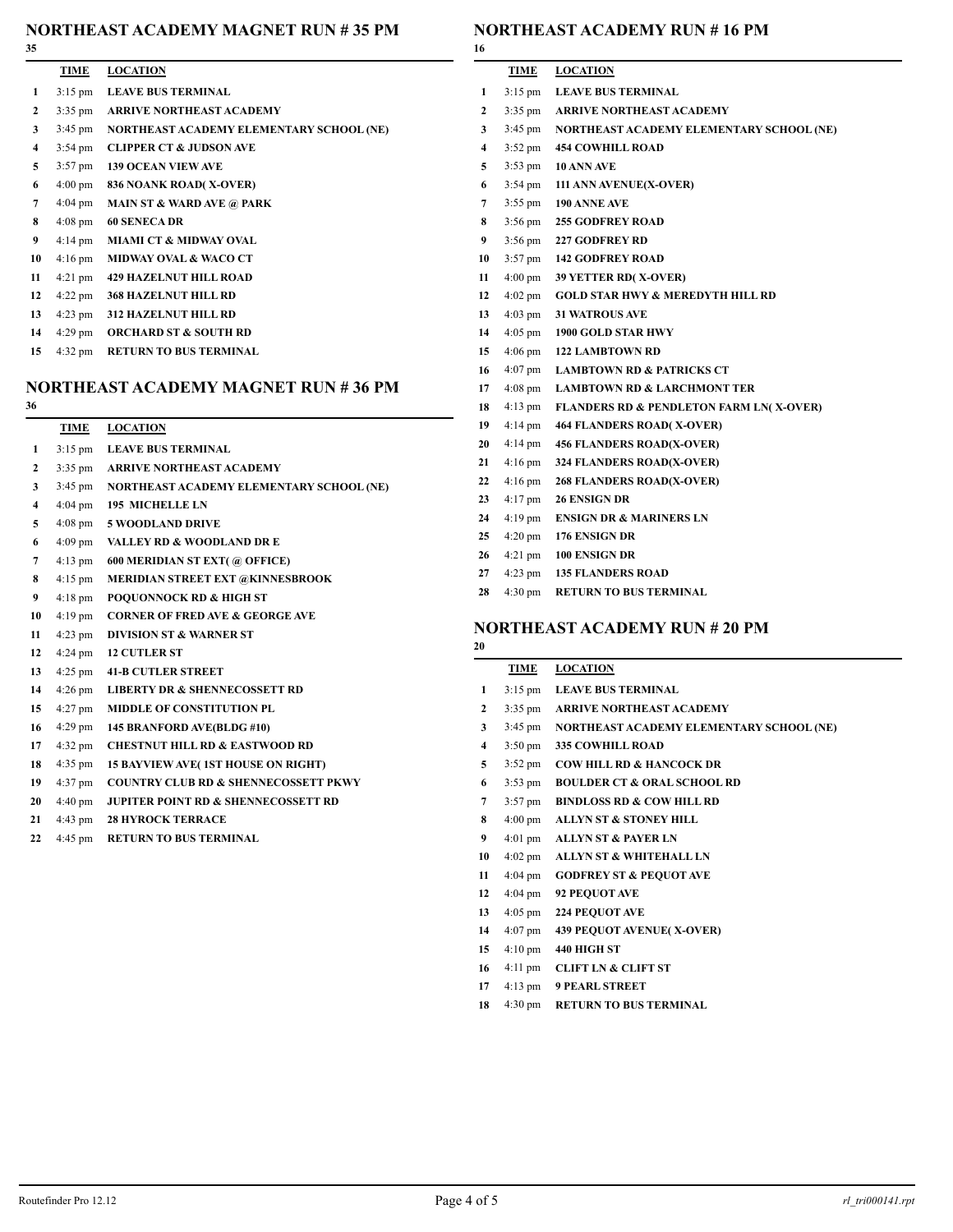#### **NORTHEAST ACADEMY MAGNET RUN # 35 PM**

| 53 |                   |                                          |
|----|-------------------|------------------------------------------|
|    | <b>TIME</b>       | <b>LOCATION</b>                          |
| 1  | $3:15 \text{ pm}$ | <b>LEAVE BUS TERMINAL</b>                |
| 2  | $3:35$ pm         | <b>ARRIVE NORTHEAST ACADEMY</b>          |
| 3  | $3:45 \text{ pm}$ | NORTHEAST ACADEMY ELEMENTARY SCHOOL (NE) |
| 4  | $3:54 \text{ pm}$ | <b>CLIPPER CT &amp; JUDSON AVE</b>       |
| 5  | $3:57$ pm         | <b>139 OCEAN VIEW AVE</b>                |
| 6  | $4:00 \text{ pm}$ | 836 NOANK ROAD(X-OVER)                   |
| 7  | $4:04 \text{ pm}$ | <b>MAIN ST &amp; WARD AVE @ PARK</b>     |
| 8  | $4:08 \text{ pm}$ | <b>60 SENECA DR</b>                      |
| 9  | $4:14 \text{ pm}$ | <b>MIAMI CT &amp; MIDWAY OVAL</b>        |
| 10 | $4:16 \text{ pm}$ | <b>MIDWAY OVAL &amp; WACO CT</b>         |
| 11 | $4:21 \text{ pm}$ | <b>429 HAZELNUT HILL ROAD</b>            |
| 12 | $4:22$ pm         | <b>368 HAZELNUT HILL RD</b>              |
| 13 | $4:23$ pm         | <b>312 HAZELNUT HILL RD</b>              |
| 14 | $4:29$ pm         | <b>ORCHARD ST &amp; SOUTH RD</b>         |
| 15 | $4:32 \text{ pm}$ | <b>RETURN TO BUS TERMINAL</b>            |

# **NORTHEAST ACADEMY MAGNET RUN # 36 PM**

| 36 |                   |                                                 |
|----|-------------------|-------------------------------------------------|
|    | <b>TIME</b>       | <b>LOCATION</b>                                 |
| 1  | $3:15 \text{ pm}$ | <b>LEAVE BUS TERMINAL</b>                       |
| 2  | $3:35$ pm         | <b>ARRIVE NORTHEAST ACADEMY</b>                 |
| 3  | $3:45 \text{ pm}$ | NORTHEAST ACADEMY ELEMENTARY SCHOOL (NE)        |
| 4  | $4:04 \text{ pm}$ | <b>195 MICHELLE LN</b>                          |
| 5  | $4:08$ pm         | <b>5 WOODLAND DRIVE</b>                         |
| 6  | $4:09$ pm         | <b>VALLEY RD &amp; WOODLAND DR E</b>            |
| 7  | $4:13$ pm         | 600 MERIDIAN ST EXT(@ OFFICE)                   |
| 8  | $4:15$ pm         | MERIDIAN STREET EXT @KINNESBROOK                |
| 9  | $4:18 \text{ pm}$ | <b>POQUONNOCK RD &amp; HIGH ST</b>              |
| 10 | $4:19$ pm         | <b>CORNER OF FRED AVE &amp; GEORGE AVE</b>      |
| 11 | $4:23$ pm         | <b>DIVISION ST &amp; WARNER ST</b>              |
| 12 | $4:24 \text{ pm}$ | <b>12 CUTLER ST</b>                             |
| 13 | $4:25$ pm         | <b>41-B CUTLER STREET</b>                       |
| 14 | $4:26$ pm         | <b>LIBERTY DR &amp; SHENNECOSSETT RD</b>        |
| 15 | $4:27$ pm         | <b>MIDDLE OF CONSTITUTION PL</b>                |
| 16 | $4:29$ pm         | 145 BRANFORD AVE(BLDG #10)                      |
| 17 | $4:32 \text{ pm}$ | <b>CHESTNUT HILL RD &amp; EASTWOOD RD</b>       |
| 18 | $4:35$ pm         | 15 BAYVIEW AVE(1ST HOUSE ON RIGHT)              |
| 19 | $4:37$ pm         | <b>COUNTRY CLUB RD &amp; SHENNECOSSETT PKWY</b> |
| 20 | $4:40 \text{ pm}$ | <b>JUPITER POINT RD &amp; SHENNECOSSETT RD</b>  |
| 21 | $4:43 \text{ pm}$ | <b>28 HYROCK TERRACE</b>                        |
| 22 | 4:45 pm           | <b>RETURN TO BUS TERMINAL</b>                   |

## **NORTHEAST ACADEMY RUN # 16 PM**

| 16 |                   |                                                    |
|----|-------------------|----------------------------------------------------|
|    | TIME              | <b>LOCATION</b>                                    |
| 1  | $3:15$ pm         | <b>LEAVE BUS TERMINAL</b>                          |
| 2  | $3:35$ pm         | ARRIVE NORTHEAST ACADEMY                           |
| 3  | $3:45 \text{ pm}$ | NORTHEAST ACADEMY ELEMENTARY SCHOOL (NE)           |
| 4  | $3:52 \text{ pm}$ | <b>454 COWHILL ROAD</b>                            |
| 5  | $3:53$ pm         | 10 ANN AVE                                         |
| 6  | $3:54 \text{ pm}$ | 111 ANN AVENUE(X-OVER)                             |
| 7  | $3:55$ pm         | 190 ANNE AVE                                       |
| 8  | $3:56$ pm         | <b>255 GODFREY ROAD</b>                            |
| 9  | $3:56 \text{ pm}$ | <b>227 GODFREY RD</b>                              |
| 10 |                   | 3:57 pm 142 GODFREY ROAD                           |
| 11 | $4:00 \text{ pm}$ | 39 YETTER RD(X-OVER)                               |
| 12 | $4:02 \text{ pm}$ | <b>GOLD STAR HWY &amp; MEREDYTH HILL RD</b>        |
| 13 | $4:03$ pm         | <b>31 WATROUS AVE</b>                              |
| 14 | $4:05$ pm         | 1900 GOLD STAR HWY                                 |
| 15 | $4:06$ pm         | <b>122 LAMBTOWN RD</b>                             |
| 16 | $4:07$ pm         | <b>LAMBTOWN RD &amp; PATRICKS CT</b>               |
| 17 | $4:08 \text{ pm}$ | <b>LAMBTOWN RD &amp; LARCHMONT TER</b>             |
| 18 | $4:13$ pm         | <b>FLANDERS RD &amp; PENDLETON FARM LN(X-OVER)</b> |
| 19 | $4:14 \text{ pm}$ | <b>464 FLANDERS ROAD(X-OVER)</b>                   |
| 20 | $4:14 \text{ pm}$ | <b>456 FLANDERS ROAD(X-OVER)</b>                   |
| 21 | $4:16 \text{ pm}$ | 324 FLANDERS ROAD(X-OVER)                          |
| 22 | $4:16 \text{ pm}$ | <b>268 FLANDERS ROAD(X-OVER)</b>                   |
| 23 | $4:17 \text{ pm}$ | <b>26 ENSIGN DR</b>                                |
| 24 | $4:19$ pm         | <b>ENSIGN DR &amp; MARINERS LN</b>                 |
| 25 | $4:20 \text{ pm}$ | 176 ENSIGN DR                                      |
| 26 | $4:21$ pm         | 100 ENSIGN DR                                      |
| 27 | $4:23$ pm         | <b>135 FLANDERS ROAD</b>                           |
| 28 | $4:30$ pm         | <b>RETURN TO BUS TERMINAL</b>                      |
|    |                   |                                                    |

# **NORTHEAST ACADEMY RUN # 20 PM**

| 20 |                   |                                          |
|----|-------------------|------------------------------------------|
|    | TIME              | <b>LOCATION</b>                          |
| 1  | $3:15$ pm         | <b>LEAVE BUS TERMINAL</b>                |
| 2  | $3:35$ pm         | <b>ARRIVE NORTHEAST ACADEMY</b>          |
| 3  | $3:45 \text{ pm}$ | NORTHEAST ACADEMY ELEMENTARY SCHOOL (NE) |
| 4  | $3:50 \text{ pm}$ | <b>335 COWHILL ROAD</b>                  |
| 5  | $3:52 \text{ pm}$ | <b>COW HILL RD &amp; HANCOCK DR</b>      |
| 6  | $3:53$ pm         | <b>BOULDER CT &amp; ORAL SCHOOL RD</b>   |
| 7  | $3:57 \text{ pm}$ | <b>BINDLOSS RD &amp; COW HILL RD</b>     |
| 8  | $4:00 \text{ pm}$ | <b>ALLYN ST &amp; STONEY HILL</b>        |
| 9  | $4:01 \text{ pm}$ | <b>ALLYN ST &amp; PAYER LN</b>           |
| 10 | $4:02 \text{ pm}$ | <b>ALLYN ST &amp; WHITEHALL LN</b>       |
| 11 | $4:04 \text{ pm}$ | <b>GODFREY ST &amp; PEOUOT AVE</b>       |
| 12 | $4:04 \text{ pm}$ | <b>92 PEQUOT AVE</b>                     |
| 13 | $4:05$ pm         | <b>224 PEQUOT AVE</b>                    |
| 14 | $4:07$ pm         | <b>439 PEQUOT AVENUE(X-OVER)</b>         |
| 15 | $4:10 \text{ pm}$ | 440 HIGH ST                              |

- 4:11 pm **CLIFT LN & CLIFT ST**
- 4:13 pm **9 PEARL STREET**
- 4:30 pm **RETURN TO BUS TERMINAL**